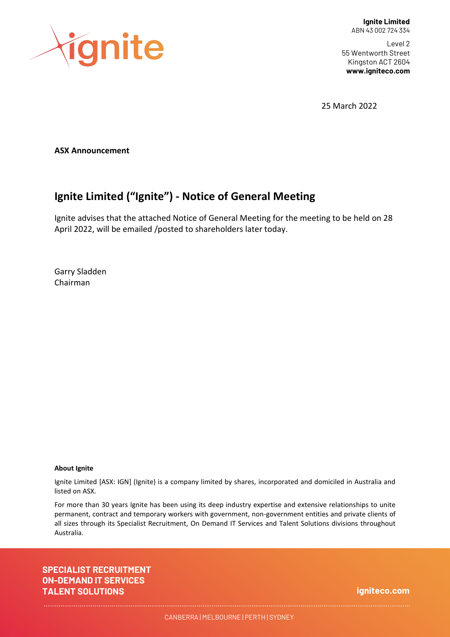

Level 2 55 Wentworth Street Kingston ACT 2604 **www.igniteco.com**

25 March 2022

**ASX Announcement**

# **Ignite Limited ("Ignite") - Notice of General Meeting**

Ignite advises that the attached Notice of General Meeting for the meeting to be held on 28 April 2022, will be emailed /posted to shareholders later today.

Garry Sladden Chairman

#### **About Ignite**

Ignite Limited [ASX: IGN] (Ignite) is a company limited by shares, incorporated and domiciled in Australia and listed on ASX.

For more than 30 years Ignite has been using its deep industry expertise and extensive relationships to unite permanent, contract and temporary workers with government, non-government entities and private clients of all sizes through its Specialist Recruitment, On Demand IT Services and Talent Solutions divisions throughout Australia.

**SPECIALIST RECRUITMENT ON-DEMAND IT SERVICES TALENT SOLUTIONS**

**igniteco.com**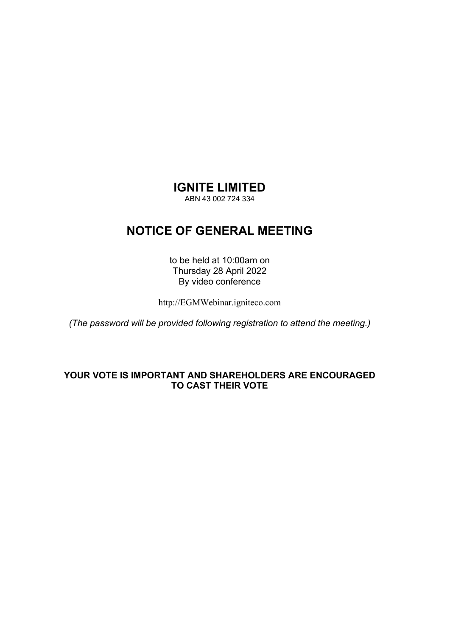#### **IGNITE LIMITED**

ABN 43 002 724 334

# **NOTICE OF GENERAL MEETING**

to be held at 10:00am on Thursday 28 April 2022 By video conference

http://EGMWebinar.igniteco.com

*(The password will be provided following registration to attend the meeting.)* 

#### **YOUR VOTE IS IMPORTANT AND SHAREHOLDERS ARE ENCOURAGED TO CAST THEIR VOTE**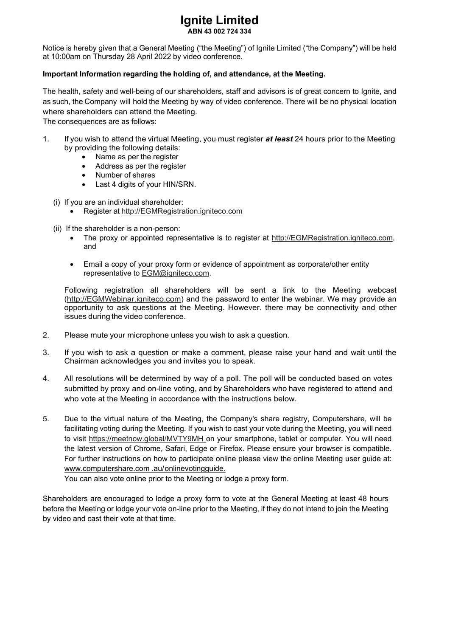# **Ignite Limited**

**ABN 43 002 724 334** 

Notice is hereby given that a General Meeting ("the Meeting") of Ignite Limited ("the Company") will be held at 10:00am on Thursday 28 April 2022 by video conference.

#### **Important Information regarding the holding of, and attendance, at the Meeting.**

The health, safety and well-being of our shareholders, staff and advisors is of great concern to Ignite, and as such, the Company will hold the Meeting by way of video conference. There will be no physical location where shareholders can attend the Meeting.

The consequences are as follows:

- 1. If you wish to attend the virtual Meeting, you must register *at least* 24 hours prior to the Meeting by providing the following details:
	- Name as per the register
	- Address as per the register
	- Number of shares
	- Last 4 digits of your HIN/SRN.
	- (i) If you are an individual shareholder:
		- Register at http://EGMRegistration.igniteco.com
	- (ii) If the shareholder is a non-person:
		- The proxy or appointed representative is to register at http://EGMRegistration.igniteco.com, and
		- Email a copy of your proxy form or evidence of appointment as corporate/other entity representative to EGM@igniteco.com.

Following registration all shareholders will be sent a link to the Meeting webcast (http://EGMWebinar.igniteco.com) and the password to enter the webinar. We may provide an opportunity to ask questions at the Meeting. However. there may be connectivity and other issues during the video conference.

- 2. Please mute your microphone unless you wish to ask a question.
- 3. If you wish to ask a question or make a comment, please raise your hand and wait until the Chairman acknowledges you and invites you to speak.
- 4. All resolutions will be determined by way of a poll. The poll will be conducted based on votes submitted by proxy and on-line voting, and by Shareholders who have registered to attend and who vote at the Meeting in accordance with the instructions below.
- 5. Due to the virtual nature of the Meeting, the Company's share registry, Computershare, will be facilitating voting during the Meeting. If you wish to cast your vote during the Meeting, you will need to visit https://meetnow.global/MVTY9MH on your smartphone, tablet or computer. You will need the latest version of Chrome, Safari, Edge or Firefox. Please ensure your browser is compatible. For further instructions on how to participate online please view the online Meeting user guide at: www.computershare.com .au/ onlinevotingguide.

You can also vote online prior to the Meeting or lodge a proxy form.

Shareholders are encouraged to lodge a proxy form to vote at the General Meeting at least 48 hours before the Meeting or lodge your vote on-line prior to the Meeting, if they do not intend to join the Meeting by video and cast their vote at that time.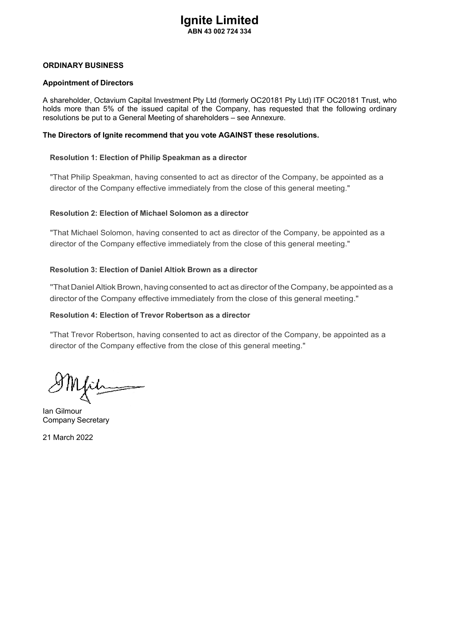#### **ORDINARY BUSINESS**

#### **Appointment of Directors**

A shareholder, Octavium Capital Investment Pty Ltd (formerly OC20181 Pty Ltd) ITF OC20181 Trust, who holds more than 5% of the issued capital of the Company, has requested that the following ordinary resolutions be put to a General Meeting of shareholders – see Annexure.

#### **The Directors of Ignite recommend that you vote AGAINST these resolutions.**

#### **Resolution 1: Election of Philip Speakman as a director**

"That Philip Speakman, having consented to act as director of the Company, be appointed as a director of the Company effective immediately from the close of this general meeting."

#### **Resolution 2: Election of Michael Solomon as a director**

"That Michael Solomon, having consented to act as director of the Company, be appointed as a director of the Company effective immediately from the close of this general meeting."

#### **Resolution 3: Election of Daniel Altiok Brown as a director**

''That Daniel Altiok Brown, having consented to act as director of the Company, be appointed as a director of the Company effective immediately from the close of this general meeting."

#### **Resolution 4: Election of Trevor Robertson as a director**

"That Trevor Robertson, having consented to act as director of the Company, be appointed as a director of the Company effective from the close of this general meeting."

Mirin

Ian Gilmour Company Secretary

21 March 2022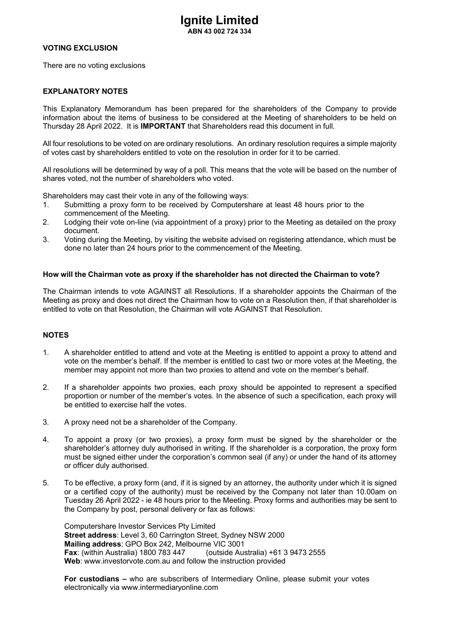#### **VOTING EXCLUSION**

There are no voting exclusions

#### **EXPLANATORY NOTES**

This Explanatory Memorandum has been prepared for the shareholders of the Company to provide information about the items of business to be considered at the Meeting of shareholders to be held on Thursday 28 April 2022. It is **IMPORTANT** that Shareholders read this document in full.

All four resolutions to be voted on are ordinary resolutions. An ordinary resolution requires a simple majority of votes cast by shareholders entitled to vote on the resolution in order for it to be carried.

All resolutions will be determined by way of a poll. This means that the vote will be based on the number of shares voted, not the number of shareholders who voted.

Shareholders may cast their vote in any of the following ways:

- 1. Submitting a proxy form to be received by Computershare at least 48 hours prior to the commencement of the Meeting.
- 2. Lodging their vote on-line (via appointment of a proxy) prior to the Meeting as detailed on the proxy document.
- 3. Voting during the Meeting, by visiting the website advised on registering attendance, which must be done no later than 24 hours prior to the commencement of the Meeting.

#### **How will the Chairman vote as proxy if the shareholder has not directed the Chairman to vote?**

The Chairman intends to vote AGAINST all Resolutions. If a shareholder appoints the Chairman of the Meeting as proxy and does not direct the Chairman how to vote on a Resolution then, if that shareholder is entitled to vote on that Resolution, the Chairman will vote AGAINST that Resolution.

#### **NOTES**

- 1. A shareholder entitled to attend and vote at the Meeting is entitled to appoint a proxy to attend and vote on the member's behalf. If the member is entitled to cast two or more votes at the Meeting, the member may appoint not more than two proxies to attend and vote on the member's behalf.
- 2. If a shareholder appoints two proxies, each proxy should be appointed to represent a specified proportion or number of the member's votes. In the absence of such a specification, each proxy will be entitled to exercise half the votes.
- 3. A proxy need not be a shareholder of the Company.
- 4. To appoint a proxy (or two proxies), a proxy form must be signed by the shareholder or the shareholder's attorney duly authorised in writing. If the shareholder is a corporation, the proxy form must be signed either under the corporation's common seal (if any) or under the hand of its attorney or officer duly authorised.
- 5. To be effective, a proxy form (and, if it is signed by an attorney, the authority under which it is signed or a certified copy of the authority) must be received by the Company not later than 10.00am on Tuesday 26 April 2022 - ie 48 hours prior to the Meeting. Proxy forms and authorities may be sent to the Company by post, personal delivery or fax as follows:

Computershare Investor Services Pty Limited **Street address**: Level 3, 60 Carrington Street, Sydney NSW 2000 **Mailing address**: GPO Box 242, Melbourne VIC 3001 **Fax**: (within Australia) 1800 783 447 (outside Australia) +61 3 9473 2555 **Web**: www.investorvote.com.au and follow the instruction provided

**For custodians –** who are subscribers of Intermediary Online, please submit your votes electronically via www.intermediaryonline.com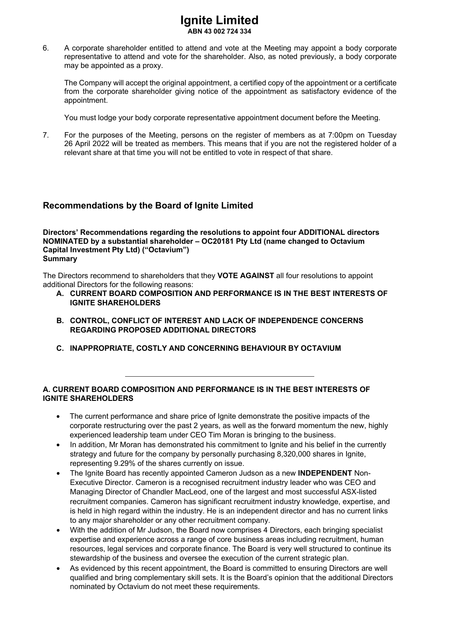6. A corporate shareholder entitled to attend and vote at the Meeting may appoint a body corporate representative to attend and vote for the shareholder. Also, as noted previously, a body corporate may be appointed as a proxy.

The Company will accept the original appointment, a certified copy of the appointment or a certificate from the corporate shareholder giving notice of the appointment as satisfactory evidence of the appointment.

You must lodge your body corporate representative appointment document before the Meeting.

7. For the purposes of the Meeting, persons on the register of members as at 7:00pm on Tuesday 26 April 2022 will be treated as members. This means that if you are not the registered holder of a relevant share at that time you will not be entitled to vote in respect of that share.

#### **Recommendations by the Board of Ignite Limited**

**Directors' Recommendations regarding the resolutions to appoint four ADDITIONAL directors NOMINATED by a substantial shareholder – OC20181 Pty Ltd (name changed to Octavium Capital Investment Pty Ltd) ("Octavium") Summary** 

The Directors recommend to shareholders that they **VOTE AGAINST** all four resolutions to appoint additional Directors for the following reasons:

- **A. CURRENT BOARD COMPOSITION AND PERFORMANCE IS IN THE BEST INTERESTS OF IGNITE SHAREHOLDERS**
- **B. CONTROL, CONFLICT OF INTEREST AND LACK OF INDEPENDENCE CONCERNS REGARDING PROPOSED ADDITIONAL DIRECTORS**
- **C. INAPPROPRIATE, COSTLY AND CONCERNING BEHAVIOUR BY OCTAVIUM**

#### **A. CURRENT BOARD COMPOSITION AND PERFORMANCE IS IN THE BEST INTERESTS OF IGNITE SHAREHOLDERS**

- The current performance and share price of lanite demonstrate the positive impacts of the corporate restructuring over the past 2 years, as well as the forward momentum the new, highly experienced leadership team under CEO Tim Moran is bringing to the business.
- In addition, Mr Moran has demonstrated his commitment to Ignite and his belief in the currently strategy and future for the company by personally purchasing 8,320,000 shares in Ignite, representing 9.29% of the shares currently on issue.
- The Ignite Board has recently appointed Cameron Judson as a new **INDEPENDENT** Non-Executive Director. Cameron is a recognised recruitment industry leader who was CEO and Managing Director of Chandler MacLeod, one of the largest and most successful ASX-listed recruitment companies. Cameron has significant recruitment industry knowledge, expertise, and is held in high regard within the industry. He is an independent director and has no current links to any major shareholder or any other recruitment company.
- With the addition of Mr Judson, the Board now comprises 4 Directors, each bringing specialist expertise and experience across a range of core business areas including recruitment, human resources, legal services and corporate finance. The Board is very well structured to continue its stewardship of the business and oversee the execution of the current strategic plan.
- As evidenced by this recent appointment, the Board is committed to ensuring Directors are well qualified and bring complementary skill sets. It is the Board's opinion that the additional Directors nominated by Octavium do not meet these requirements.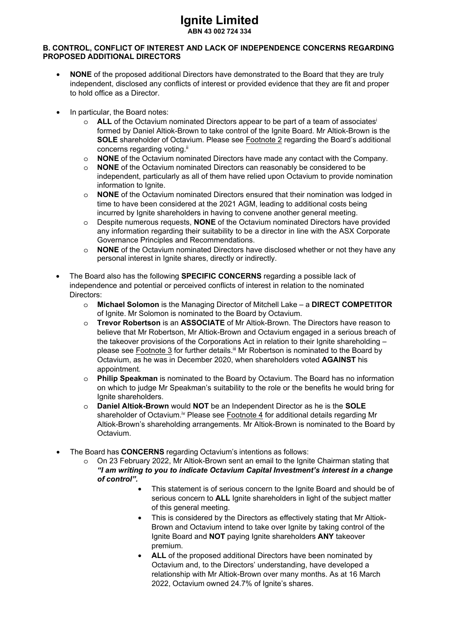# **Ignite Limited**

**ABN 43 002 724 334** 

#### **B. CONTROL, CONFLICT OF INTEREST AND LACK OF INDEPENDENCE CONCERNS REGARDING PROPOSED ADDITIONAL DIRECTORS**

- **NONE** of the proposed additional Directors have demonstrated to the Board that they are truly independent, disclosed any conflicts of interest or provided evidence that they are fit and proper to hold office as a Director.
- In particular, the Board notes:
	- o **ALL** of the Octavium nominated Directors appear to be part of a team of associatesi formed by Daniel Altiok-Brown to take control of the Ignite Board. Mr Altiok-Brown is the **SOLE** shareholder of Octavium. Please see Footnote 2 regarding the Board's additional concerns regarding voting.<sup>ii</sup>
	- o **NONE** of the Octavium nominated Directors have made any contact with the Company.
	- **NONE** of the Octavium nominated Directors can reasonably be considered to be independent, particularly as all of them have relied upon Octavium to provide nomination information to lanite.
	- o **NONE** of the Octavium nominated Directors ensured that their nomination was lodged in time to have been considered at the 2021 AGM, leading to additional costs being incurred by Ignite shareholders in having to convene another general meeting.
	- o Despite numerous requests, **NONE** of the Octavium nominated Directors have provided any information regarding their suitability to be a director in line with the ASX Corporate Governance Principles and Recommendations.
	- o **NONE** of the Octavium nominated Directors have disclosed whether or not they have any personal interest in Ignite shares, directly or indirectly.
- The Board also has the following **SPECIFIC CONCERNS** regarding a possible lack of independence and potential or perceived conflicts of interest in relation to the nominated Directors:
	- o **Michael Solomon** is the Managing Director of Mitchell Lake a **DIRECT COMPETITOR**  of Ignite. Mr Solomon is nominated to the Board by Octavium.
	- o **Trevor Robertson** is an **ASSOCIATE** of Mr Altiok-Brown. The Directors have reason to believe that Mr Robertson, Mr Altiok-Brown and Octavium engaged in a serious breach of the takeover provisions of the Corporations Act in relation to their Ignite shareholding – please see Footnote 3 for further details.<sup>iii</sup> Mr Robertson is nominated to the Board by Octavium, as he was in December 2020, when shareholders voted **AGAINST** his appointment.
	- o **Philip Speakman** is nominated to the Board by Octavium. The Board has no information on which to judge Mr Speakman's suitability to the role or the benefits he would bring for Ignite shareholders.
	- o **Daniel Altiok-Brown** would **NOT** be an Independent Director as he is the **SOLE**  shareholder of Octavium.<sup>iv</sup> Please see Footnote 4 for additional details regarding Mr Altiok-Brown's shareholding arrangements. Mr Altiok-Brown is nominated to the Board by Octavium.
- The Board has **CONCERNS** regarding Octavium's intentions as follows:
	- o On 23 February 2022, Mr Altiok-Brown sent an email to the Ignite Chairman stating that *"I am writing to you to indicate Octavium Capital Investment's interest in a change of control".* 
		- This statement is of serious concern to the Ignite Board and should be of serious concern to **ALL** Ignite shareholders in light of the subject matter of this general meeting.
		- This is considered by the Directors as effectively stating that Mr Altiok-Brown and Octavium intend to take over lonite by taking control of the Ignite Board and **NOT** paying Ignite shareholders **ANY** takeover premium.
		- ALL of the proposed additional Directors have been nominated by Octavium and, to the Directors' understanding, have developed a relationship with Mr Altiok-Brown over many months. As at 16 March 2022, Octavium owned 24.7% of Ignite's shares.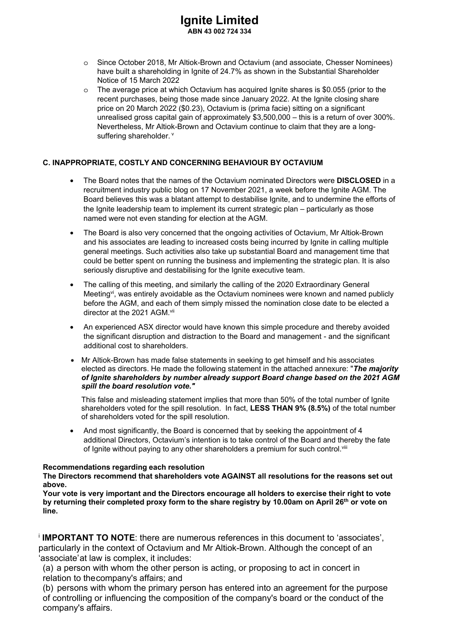- o Since October 2018, Mr Altiok-Brown and Octavium (and associate, Chesser Nominees) have built a shareholding in Ignite of 24.7% as shown in the Substantial Shareholder Notice of 15 March 2022
- $\circ$  The average price at which Octavium has acquired Ignite shares is \$0.055 (prior to the recent purchases, being those made since January 2022. At the Ignite closing share price on 20 March 2022 (\$0.23), Octavium is (prima facie) sitting on a significant unrealised gross capital gain of approximately \$3,500,000 – this is a return of over 300%. Nevertheless, Mr Altiok-Brown and Octavium continue to claim that they are a longsuffering shareholder. v

#### **C. INAPPROPRIATE, COSTLY AND CONCERNING BEHAVIOUR BY OCTAVIUM**

- The Board notes that the names of the Octavium nominated Directors were **DISCLOSED** in a recruitment industry public blog on 17 November 2021, a week before the Ignite AGM. The Board believes this was a blatant attempt to destabilise Ignite, and to undermine the efforts of the Ignite leadership team to implement its current strategic plan – particularly as those named were not even standing for election at the AGM.
- The Board is also very concerned that the ongoing activities of Octavium, Mr Altiok-Brown and his associates are leading to increased costs being incurred by Ignite in calling multiple general meetings. Such activities also take up substantial Board and management time that could be better spent on running the business and implementing the strategic plan. It is also seriously disruptive and destabilising for the Ignite executive team.
- The calling of this meeting, and similarly the calling of the 2020 Extraordinary General Meeting<sup>vi</sup>, was entirely avoidable as the Octavium nominees were known and named publicly before the AGM, and each of them simply missed the nomination close date to be elected a director at the 2021 AGM.vii
- An experienced ASX director would have known this simple procedure and thereby avoided the significant disruption and distraction to the Board and management - and the significant additional cost to shareholders.
- Mr Altiok-Brown has made false statements in seeking to get himself and his associates elected as directors. He made the following statement in the attached annexure: "*The majority of Ignite shareholders by number already support Board change based on the 2021 AGM spill the board resolution vote."*

This false and misleading statement implies that more than 50% of the total number of Ignite shareholders voted for the spill resolution. In fact, **LESS THAN 9% (8.5%)** of the total number of shareholders voted for the spill resolution.

• And most significantly, the Board is concerned that by seeking the appointment of 4 additional Directors, Octavium's intention is to take control of the Board and thereby the fate of Ignite without paying to any other shareholders a premium for such control.<sup>viii</sup>

#### **Recommendations regarding each resolution**

**The Directors recommend that shareholders vote AGAINST all resolutions for the reasons set out above.** 

**Your vote is very important and the Directors encourage all holders to exercise their right to vote**  by returning their completed proxy form to the share registry by 10.00am on April 26<sup>th</sup> or vote on **line.** 

<sup>i</sup> **IMPORTANT TO NOTE**: there are numerous references in this document to 'associates', particularly in the context of Octavium and Mr Altiok-Brown. Although the concept of an 'associate' at law is complex, it includes:

(a) a person with whom the other person is acting, or proposing to act in concert in relation to the company's affairs; and

(b) persons with whom the primary person has entered into an agreement for the purpose of controlling or influencing the composition of the company's board or the conduct of the company's affairs.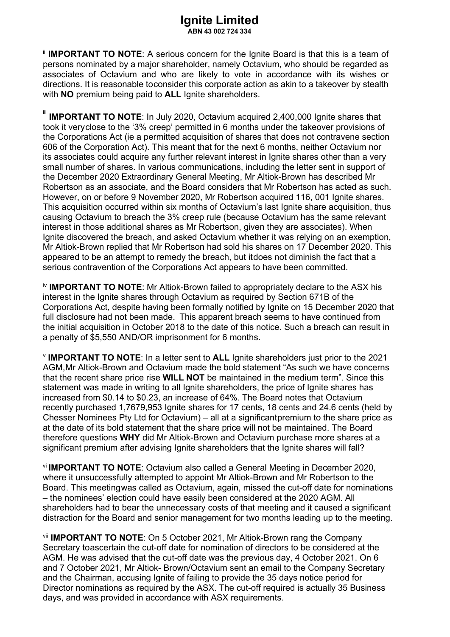**IIMPORTANT TO NOTE:** A serious concern for the Ignite Board is that this is a team of persons nominated by a major shareholder, namely Octavium, who should be regarded as associates of Octavium and who are likely to vote in accordance with its wishes or directions. It is reasonable to consider this corporate action as akin to a takeover by stealth with **NO** premium being paid to **ALL** Ignite shareholders.

**IIMPORTANT TO NOTE:** In July 2020, Octavium acquired 2,400,000 Ignite shares that took it very close to the '3% creep' permitted in 6 months under the takeover provisions of the Corporations Act (ie a permitted acquisition of shares that does not contravene section 606 of the Corporation Act). This meant that for the next 6 months, neither Octavium nor its associates could acquire any further relevant interest in Ignite shares other than a very small number of shares. In various communications, including the letter sent in support of the December 2020 Extraordinary General Meeting, Mr Altiok-Brown has described Mr Robertson as an associate, and the Board considers that Mr Robertson has acted as such. However, on or before 9 November 2020, Mr Robertson acquired 116, 001 Ignite shares. This acquisition occurred within six months of Octavium's last Ignite share acquisition, thus causing Octavium to breach the 3% creep rule (because Octavium has the same relevant interest in those additional shares as Mr Robertson, given they are associates). When Ignite discovered the breach, and asked Octavium whether it was relying on an exemption, Mr Altiok-Brown replied that Mr Robertson had sold his shares on 17 December 2020. This appeared to be an attempt to remedy the breach, but it does not diminish the fact that a serious contravention of the Corporations Act appears to have been committed.

iv **IMPORTANT TO NOTE**: Mr Altiok-Brown failed to appropriately declare to the ASX his interest in the Ignite shares through Octavium as required by Section 671B of the Corporations Act, despite having been formally notified by Ignite on 15 December 2020 that full disclosure had not been made. This apparent breach seems to have continued from the initial acquisition in October 2018 to the date of this notice. Such a breach can result in a penalty of \$5,550 AND/OR imprisonment for 6 months.

<sup>v</sup> **IMPORTANT TO NOTE**: In a letter sent to **ALL** Ignite shareholders just prior to the 2021 AGM, Mr Altiok-Brown and Octavium made the bold statement "As such we have concerns that the recent share price rise **WILL NOT** be maintained in the medium term". Since this statement was made in writing to all Ignite shareholders, the price of Ignite shares has increased from \$0.14 to \$0.23, an increase of 64%. The Board notes that Octavium recently purchased 1,7679,953 Ignite shares for 17 cents, 18 cents and 24.6 cents (held by Chesser Nominees Pty Ltd for Octavium) – all at a significant premium to the share price as at the date of its bold statement that the share price will not be maintained. The Board therefore questions **WHY** did Mr Altiok-Brown and Octavium purchase more shares at a significant premium after advising lgnite shareholders that the Ignite shares will fall?

vi **IMPORTANT TO NOTE**: Octavium also called a General Meeting in December 2020, where it unsuccessfully attempted to appoint Mr Altiok-Brown and Mr Robertson to the Board. This meeting was called as Octavium, again, missed the cut-off date for nominations – the nominees' election could have easily been considered at the 2020 AGM. All shareholders had to bear the unnecessary costs of that meeting and it caused a significant distraction for the Board and senior management for two months leading up to the meeting.

vii **IMPORTANT TO NOTE**: On 5 October 2021, Mr Altiok-Brown rang the Company Secretary to ascertain the cut-off date for nomination of directors to be considered at the AGM. He was advised that the cut-off date was the previous day, 4 October 2021. On 6 and 7 October 2021, Mr Altiok- Brown/Octavium sent an email to the Company Secretary and the Chairman, accusing Ignite of failing to provide the 35 days notice period for Director nominations as required by the ASX. The cut-off required is actually 35 Business days, and was provided in accordance with ASX requirements.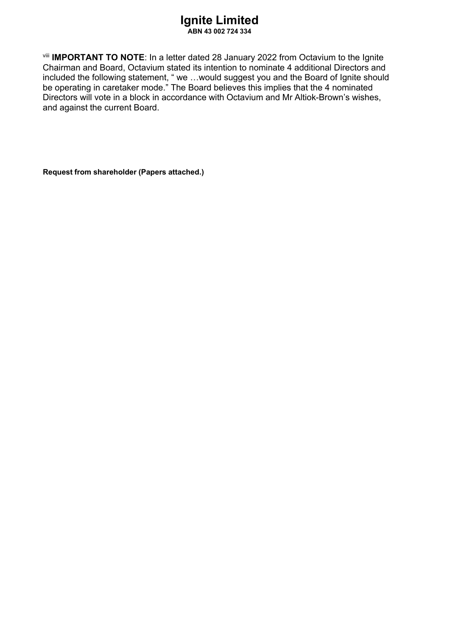viii **IMPORTANT TO NOTE**: In a letter dated 28 January 2022 from Octavium to the Ignite Chairman and Board, Octavium stated its intention to nominate 4 additional Directors and included the following statement, " we …would suggest you and the Board of Ignite should be operating in caretaker mode." The Board believes this implies that the 4 nominated and against the current Board. Directors will vote in a block in accordance with Octavium and Mr Altiok-Brown's wishes,

**Request from shareholder (Papers attached.)**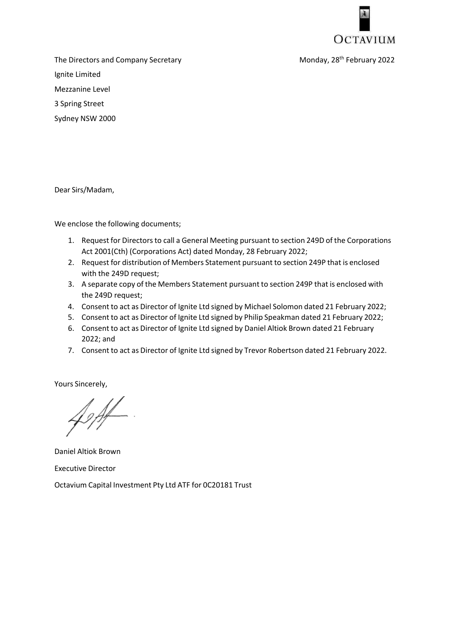

The Directors and Company Secretary February 2022 Ignite Limited Mezzanine Level 3 Spring Street Sydney NSW 2000

Dear Sirs/Madam,

We enclose the following documents;

- 1. Request for Directors to call a General Meeting pursuant to section 249D of the Corporations Act 2001(Cth) (Corporations Act) dated Monday, 28 February 2022;
- 2. Request for distribution of Members Statement pursuant to section 249P that is enclosed with the 249D request;
- 3. A separate copy of the Members Statement pursuant to section 249P that is enclosed with the 249D request;
- 4. Consent to act as Director of Ignite Ltd signed by Michael Solomon dated 21 February 2022;
- 5. Consent to act as Director of Ignite Ltd signed by Philip Speakman dated 21 February 2022;
- 6. Consent to act as Director of Ignite Ltd signed by Daniel Altiok Brown dated 21 February 2022; and
- 7. Consent to act as Director of Ignite Ltd signed by Trevor Robertson dated 21 February 2022.

Yours Sincerely,

Daniel Altiok Brown Executive Director

Octavium Capital Investment Pty Ltd ATF for 0C20181 Trust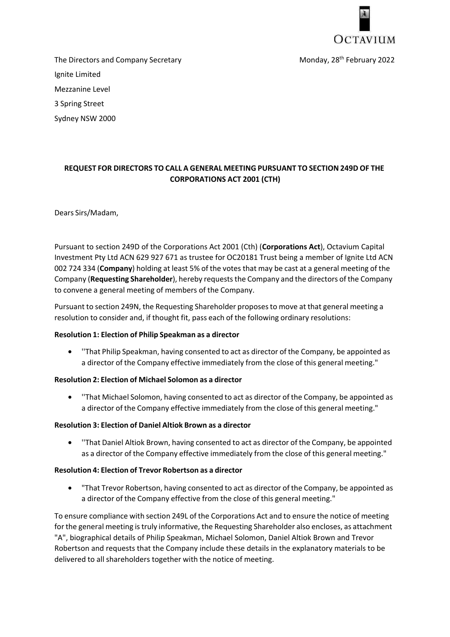

The Directors and Company Secretary February 2022 Ignite Limited Mezzanine Level 3 Spring Street

Sydney NSW 2000

#### **REQUEST FOR DIRECTORS TO CALL A GENERAL MEETING PURSUANT TO SECTION 249D OF THE CORPORATIONS ACT 2001 (CTH)**

#### Dears Sirs/Madam,

Pursuant to section 249D of the Corporations Act 2001 (Cth) (**Corporations Act**), Octavium Capital Investment Pty Ltd ACN 629 927 671 as trustee for OC20181 Trust being a member of Ignite Ltd ACN 002 724 334 (**Company**) holding at least 5% of the votes that may be cast at a general meeting of the Company (**Requesting Shareholder**), hereby requests the Company and the directors of the Company to convene a general meeting of members of the Company.

Pursuant to section 249N, the Requesting Shareholder proposes to move at that general meeting a resolution to consider and, if thought fit, pass each of the following ordinary resolutions:

#### **Resolution 1: Election of Philip Speakman as a director**

• ''That Philip Speakman, having consented to act as director of the Company, be appointed as a director of the Company effective immediately from the close of this general meeting."

#### **Resolution 2: Election of Michael Solomon as a director**

• ''That Michael Solomon, having consented to act as director of the Company, be appointed as a director of the Company effective immediately from the close of this general meeting."

#### **Resolution 3: Election of Daniel Altiok Brown as a director**

• ''That Daniel Altiok Brown, having consented to act as director of the Company, be appointed as a director of the Company effective immediately from the close of this general meeting."

#### **Resolution 4: Election of Trevor Robertson as a director**

• "That Trevor Robertson, having consented to act as director of the Company, be appointed as a director of the Company effective from the close of this general meeting."

To ensure compliance with section 249L of the Corporations Act and to ensure the notice of meeting for the general meeting is truly informative, the Requesting Shareholder also encloses, as attachment "A", biographical details of Philip Speakman, Michael Solomon, Daniel Altiok Brown and Trevor Robertson and requests that the Company include these details in the explanatory materials to be delivered to all shareholders together with the notice of meeting.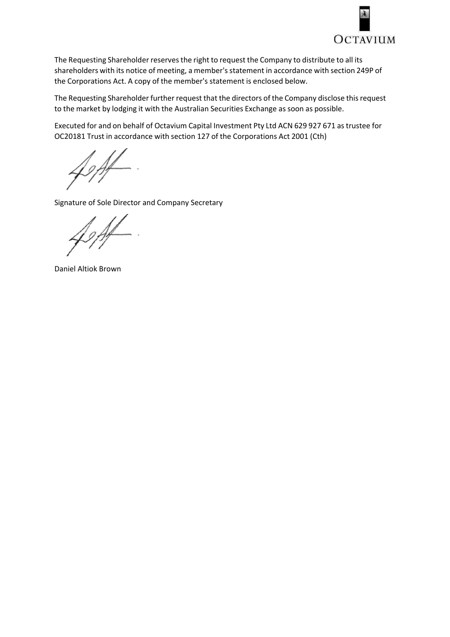

The Requesting Shareholder reserves the right to request the Company to distribute to all its shareholders with its notice of meeting, a member's statement in accordance with section 249P of the Corporations Act. A copy of the member's statement is enclosed below.

The Requesting Shareholder further request that the directors of the Company disclose this request to the market by lodging it with the Australian Securities Exchange as soon as possible.

Executed for and on behalf of Octavium Capital Investment Pty Ltd ACN 629 927 671 as trustee for OC20181 Trust in accordance with section 127 of the Corporations Act 2001 (Cth)

Signature of Sole Director and Company Secretary

Daniel Altiok Brown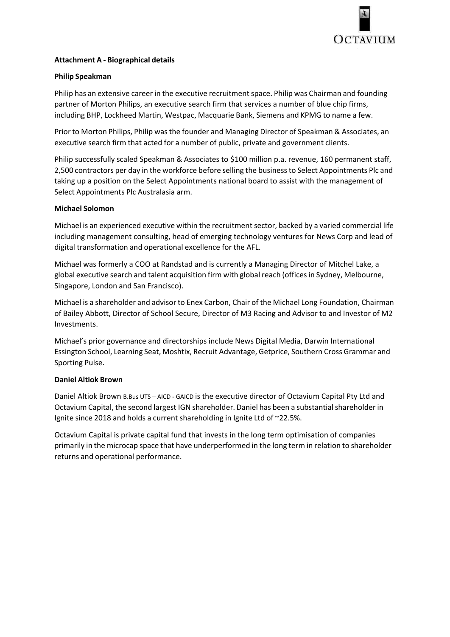

#### **Attachment A - Biographical details**

#### **Philip Speakman**

Philip has an extensive career in the executive recruitment space. Philip was Chairman and founding partner of Morton Philips, an executive search firm that services a number of blue chip firms, including BHP, Lockheed Martin, Westpac, Macquarie Bank, Siemens and KPMG to name a few.

Prior to Morton Philips, Philip was the founder and Managing Director of Speakman & Associates, an executive search firm that acted for a number of public, private and government clients.

Philip successfully scaled Speakman & Associates to \$100 million p.a. revenue, 160 permanent staff, 2,500 contractors per day in the workforce before selling the business to Select Appointments Plc and taking up a position on the Select Appointments national board to assist with the management of Select Appointments Plc Australasia arm.

#### **Michael Solomon**

Michael is an experienced executive within the recruitment sector, backed by a varied commercial life including management consulting, head of emerging technology ventures for News Corp and lead of digital transformation and operational excellence for the AFL.

Michael was formerly a COO at Randstad and is currently a Managing Director of Mitchel Lake, a global executive search and talent acquisition firm with global reach (offices in Sydney, Melbourne, Singapore, London and San Francisco).

Michael is a shareholder and advisor to Enex Carbon, Chair of the Michael Long Foundation, Chairman of Bailey Abbott, Director of School Secure, Director of M3 Racing and Advisor to and Investor of M2 Investments.

Michael's prior governance and directorships include News Digital Media, Darwin International Essington School, Learning Seat, Moshtix, Recruit Advantage, Getprice, Southern Cross Grammar and Sporting Pulse.

#### **Daniel Altiok Brown**

Daniel Altiok Brown B.Bus UTS – AICD - GAICD is the executive director of Octavium Capital Pty Ltd and Octavium Capital, the second largest IGN shareholder. Daniel has been a substantial shareholder in Ignite since 2018 and holds a current shareholding in Ignite Ltd of ~22.5%.

Octavium Capital is private capital fund that invests in the long term optimisation of companies primarily in the microcap space that have underperformed in the long term in relation to shareholder returns and operational performance.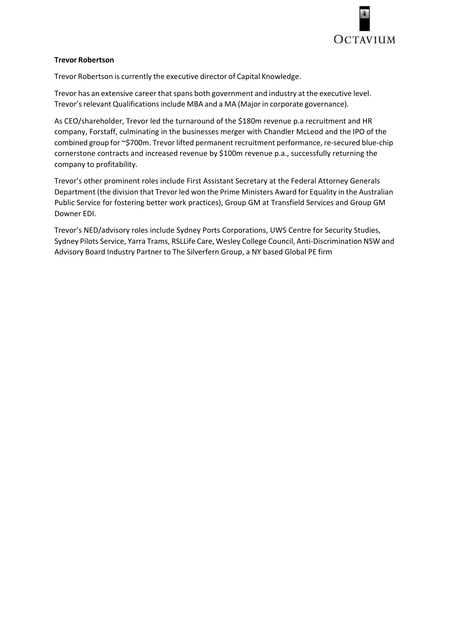

#### **Trevor Robertson**

Trevor Robertson is currently the executive director of Capital Knowledge.

Trevor has an extensive career that spans both government and industry at the executive level. Trevor's relevant Qualifications include MBA and a MA (Major in corporate governance).

As CEO/shareholder, Trevor led the turnaround of the \$180m revenue p.a recruitment and HR company, Forstaff, culminating in the businesses merger with Chandler McLeod and the IPO of the combined group for ~\$700m. Trevor lifted permanent recruitment performance, re-secured blue-chip cornerstone contracts and increased revenue by \$100m revenue p.a., successfully returning the company to profitability.

Trevor's other prominent roles include First Assistant Secretary at the Federal Attorney Generals Department (the division that Trevor led won the Prime Ministers Award for Equality in the Australian Public Service for fostering better work practices), Group GM at Transfield Services and Group GM Downer EDI.

Trevor's NED/advisory roles include Sydney Ports Corporations, UWS Centre for Security Studies, Sydney Pilots Service, Yarra Trams, RSLLife Care, Wesley College Council, Anti-Discrimination NSW and Advisory Board Industry Partner to The Silverfern Group, a NY based Global PE firm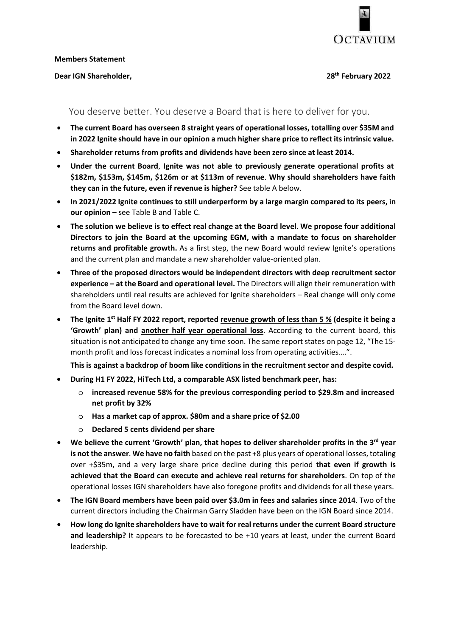

#### **Members Statement**

#### **Dear IGN Shareholder, 28th February 2022**

#### You deserve better. You deserve a Board that is here to deliver for you.

- **The current Board has overseen 8 straight years of operational losses, totalling over \$35M and in 2022 Ignite should have in our opinion a much higher share price to reflect its intrinsic value.**
- **Shareholder returns from profits and dividends have been zero since at least 2014.**
- **Under the current Board**, **Ignite was not able to previously generate operational profits at \$182m, \$153m, \$145m, \$126m or at \$113m of revenue**. **Why should shareholders have faith they can in the future, even if revenue is higher?** See table A below.
- **In 2021/2022 Ignite continues to still underperform by a large margin compared to its peers, in our opinion** – see Table B and Table C.
- **The solution we believe is to effect real change at the Board level**. **We propose four additional Directors to join the Board at the upcoming EGM, with a mandate to focus on shareholder returns and profitable growth.** As a first step, the new Board would review Ignite's operations and the current plan and mandate a new shareholder value-oriented plan.
- **Three of the proposed directors would be independent directors with deep recruitment sector experience – at the Board and operational level.** The Directors will align their remuneration with shareholders until real results are achieved for Ignite shareholders – Real change will only come from the Board level down.
- The Ignite 1<sup>st</sup> Half FY 2022 report, reported revenue growth of less than 5 % (despite it being a **'Growth' plan) and another half year operational loss**. According to the current board, this situation is not anticipated to change any time soon. The same report states on page 12, "The 15 month profit and loss forecast indicates a nominal loss from operating activities….".

**This is against a backdrop of boom like conditions in the recruitment sector and despite covid.** 

- **During H1 FY 2022, HiTech Ltd, a comparable ASX listed benchmark peer, has:** 
	- o **increased revenue 58% for the previous corresponding period to \$29.8m and increased net profit by 32%**
	- o **Has a market cap of approx. \$80m and a share price of \$2.00**
	- o **Declared 5 cents dividend per share**
- **We believe the current 'Growth' plan, that hopes to deliver shareholder profits in the 3rd year is not the answer**. **We have no faith** based on the past +8 plus years of operational losses, totaling over +\$35m, and a very large share price decline during this period **that even if growth is achieved that the Board can execute and achieve real returns for shareholders**. On top of the operational losses IGN shareholders have also foregone profits and dividends for all these years.
- **The IGN Board members have been paid over \$3.0m in fees and salaries since 2014**. Two of the current directors including the Chairman Garry Sladden have been on the IGN Board since 2014.
- **How long do Ignite shareholders have to wait for real returns under the current Board structure and leadership?** It appears to be forecasted to be +10 years at least, under the current Board leadership.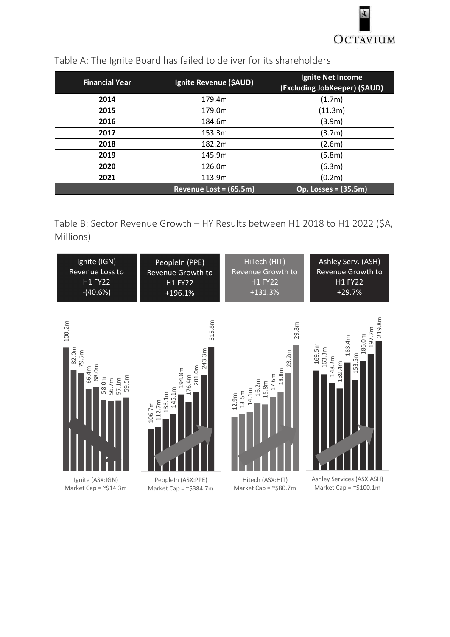

| <b>Financial Year</b> | Ignite Revenue (\$AUD) | <b>Ignite Net Income</b><br>(Excluding JobKeeper) (\$AUD) |
|-----------------------|------------------------|-----------------------------------------------------------|
| 2014                  | 179.4m                 | (1.7m)                                                    |
| 2015                  | 179.0m                 | (11.3m)                                                   |
| 2016                  | 184.6m                 | (3.9m)                                                    |
| 2017                  | 153.3m                 | (3.7m)                                                    |
| 2018                  | 182.2m                 | (2.6m)                                                    |
| 2019                  | 145.9m                 | (5.8m)                                                    |
| 2020                  | 126.0m                 | (6.3m)                                                    |
| 2021                  | 113.9m                 | (0.2m)                                                    |
|                       | Revenue Lost = (65.5m) | Op. Losses = (35.5m)                                      |

### Table A: The Ignite Board has failed to deliver for its shareholders

Table B: Sector Revenue Growth – HY Results between H1 2018 to H1 2022 (\$A, Millions)

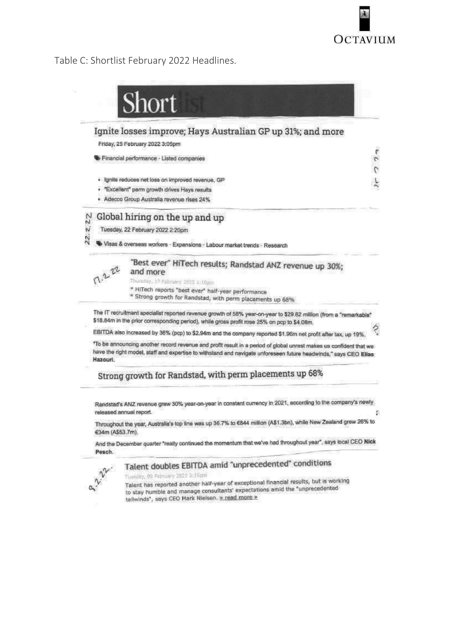

#### Table C: Shortlist February 2022 Headlines.





Tuesday, 08 February 2022 3:15pm Tuesday, us reproduced another half-year of exceptional financial results, but is working Talent has reported another han-year of exceptional mission the "unprecedented<br>to stay humble and manage consultants' expectations amid the "unprecedented tailwinds", says CEO Mark Nielsen. > read more >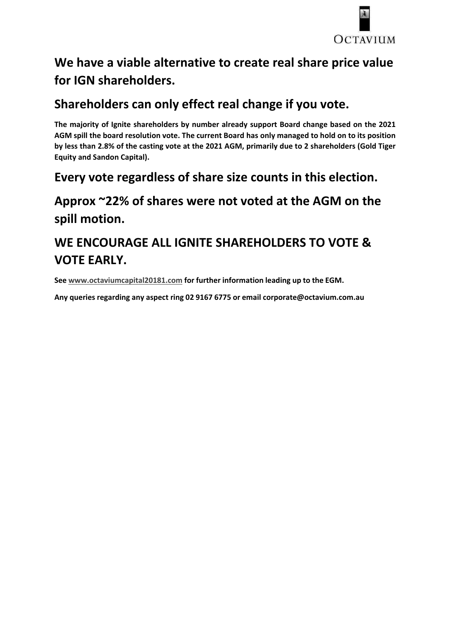

# **We have a viable alternative to create real share price value for IGN shareholders.**

# **Shareholders can only effect real change if you vote.**

**The majority of Ignite shareholders by number already support Board change based on the 2021 AGM spill the board resolution vote. The current Board has only managed to hold on to its position by less than 2.8% of the casting vote at the 2021 AGM, primarily due to 2 shareholders (Gold Tiger Equity and Sandon Capital).** 

# **Every vote regardless of share size counts in this election.**

# **Approx ~22% of shares were not voted at the AGM on the spill motion.**

# **WE ENCOURAGE ALL IGNITE SHAREHOLDERS TO VOTE & VOTE EARLY.**

**See www.octaviumcapital20181.com for further information leading up to the EGM.** 

**Any queries regarding any aspect ring 02 9167 6775 or email corporate@octavium.com.au**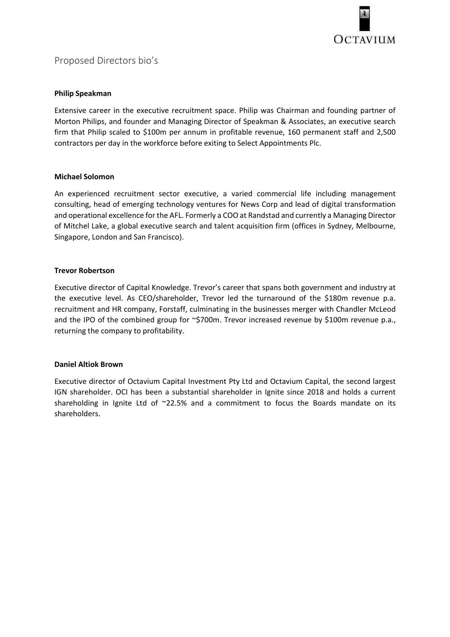

#### **Philip Speakman**

Extensive career in the executive recruitment space. Philip was Chairman and founding partner of Morton Philips, and founder and Managing Director of Speakman & Associates, an executive search firm that Philip scaled to \$100m per annum in profitable revenue, 160 permanent staff and 2,500 contractors per day in the workforce before exiting to Select Appointments Plc.

#### **Michael Solomon**

An experienced recruitment sector executive, a varied commercial life including management consulting, head of emerging technology ventures for News Corp and lead of digital transformation and operational excellence for the AFL. Formerly a COO at Randstad and currently a Managing Director of Mitchel Lake, a global executive search and talent acquisition firm (offices in Sydney, Melbourne, Singapore, London and San Francisco).

#### **Trevor Robertson**

Executive director of Capital Knowledge. Trevor's career that spans both government and industry at the executive level. As CEO/shareholder, Trevor led the turnaround of the \$180m revenue p.a. recruitment and HR company, Forstaff, culminating in the businesses merger with Chandler McLeod and the IPO of the combined group for ~\$700m. Trevor increased revenue by \$100m revenue p.a., returning the company to profitability.

#### **Daniel Altiok Brown**

Executive director of Octavium Capital Investment Pty Ltd and Octavium Capital, the second largest IGN shareholder. OCI has been a substantial shareholder in Ignite since 2018 and holds a current shareholding in Ignite Ltd of ~22.5% and a commitment to focus the Boards mandate on its shareholders.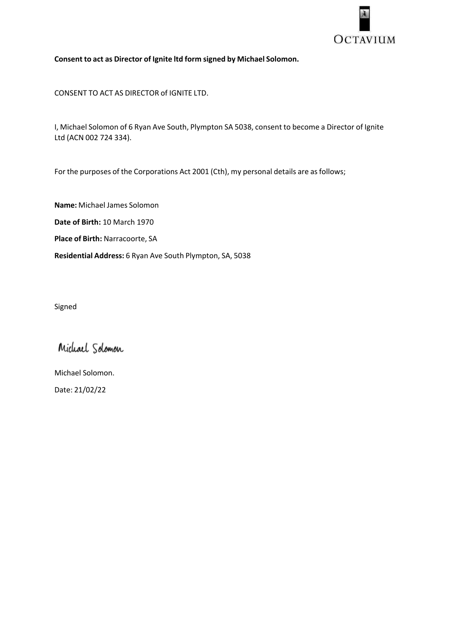

**Consent to act as Director of Ignite ltd form signed by Michael Solomon.** 

CONSENT TO ACT AS DIRECTOR of IGNITE LTD.

I, Michael Solomon of 6 Ryan Ave South, Plympton SA 5038, consent to become a Director of Ignite Ltd (ACN 002 724 334).

For the purposes of the Corporations Act 2001 (Cth), my personal details are as follows;

**Name:** Michael James Solomon **Date of Birth:** 10 March 1970 **Place of Birth:** Narracoorte, SA **Residential Address:** 6 Ryan Ave South Plympton, SA, 5038

Signed

Michael Solomon

Michael Solomon. Date: 21/02/22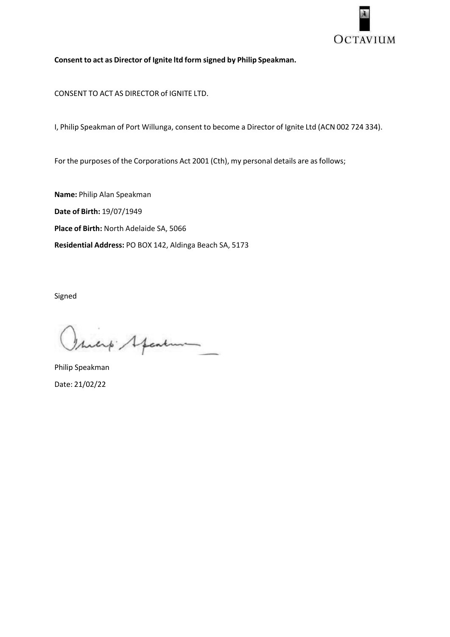

**Consent to act as Director of Ignite ltd form signed by Philip Speakman.** 

CONSENT TO ACT AS DIRECTOR of IGNITE LTD.

I, Philip Speakman of Port Willunga, consent to become a Director of Ignite Ltd (ACN 002 724 334).

For the purposes of the Corporations Act 2001 (Cth), my personal details are as follows;

**Name:** Philip Alan Speakman **Date of Birth:** 19/07/1949 **Place of Birth:** North Adelaide SA, 5066 **Residential Address:** PO BOX 142, Aldinga Beach SA, 5173

Signed

Isicip Speaking

Philip Speakman Date: 21/02/22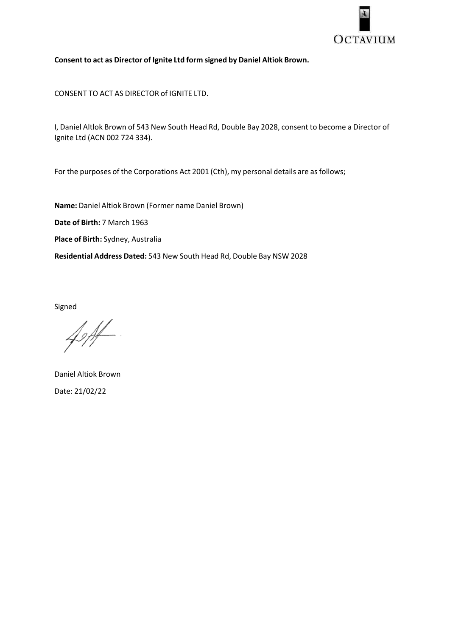

#### **Consent to act as Director of Ignite Ltd form signed by Daniel Altiok Brown.**

CONSENT TO ACT AS DIRECTOR of IGNITE LTD.

I, Daniel Altlok Brown of 543 New South Head Rd, Double Bay 2028, consent to become a Director of Ignite Ltd (ACN 002 724 334).

For the purposes of the Corporations Act 2001 (Cth), my personal details are as follows;

**Name:** Daniel Altiok Brown (Former name Daniel Brown)

**Date of Birth:** 7 March 1963

**Place of Birth:** Sydney, Australia

**Residential Address Dated:** 543 New South Head Rd, Double Bay NSW 2028

Signed

 $\cancel{\psi}$ 

Daniel Altiok Brown Date: 21/02/22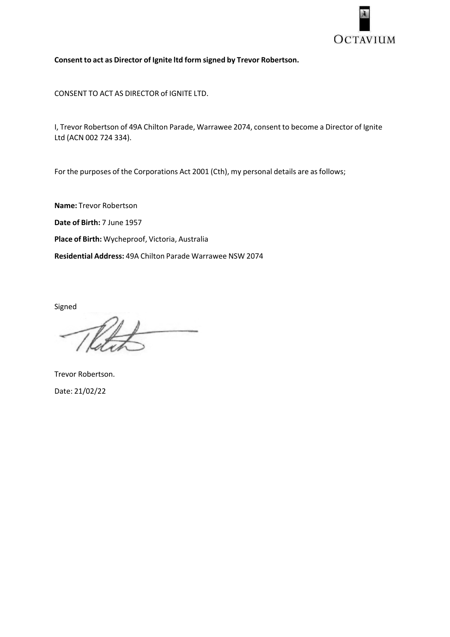

**Consent to act as Director of Ignite ltd form signed by Trevor Robertson.** 

CONSENT TO ACT AS DIRECTOR of IGNITE LTD.

I, Trevor Robertson of 49A Chilton Parade, Warrawee 2074, consent to become a Director of Ignite Ltd (ACN 002 724 334).

For the purposes of the Corporations Act 2001 (Cth), my personal details are as follows;

**Name:** Trevor Robertson **Date of Birth:** 7 June 1957 **Place of Birth:** Wycheproof, Victoria, Australia **Residential Address:** 49A Chilton Parade Warrawee NSW 2074

Signed

Trevor Robertson. Date: 21/02/22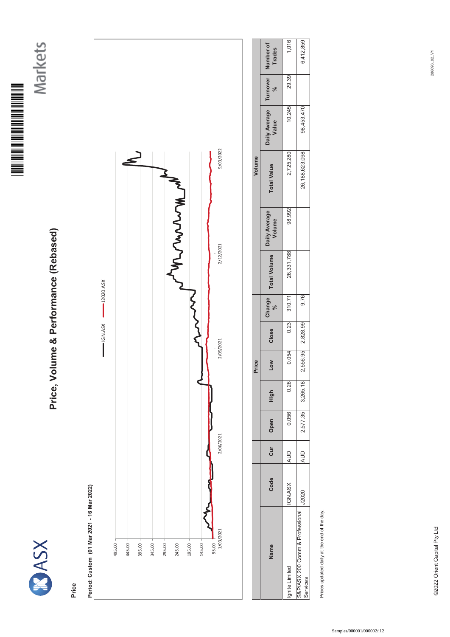

Markets



# Price, Volume & Performance (Rebased) **Price, Volume & Performance (Rebased)**

**Price**

# Period: Custom (01 Mar 2021 - 16 Mar 2022) **Period: Custom (01 Mar 2021 - 16 Mar 2022)**



|                                            |              |            |       |                   | Price      |                 |                      |                     |                         | Volume             |                        |                           |                     |
|--------------------------------------------|--------------|------------|-------|-------------------|------------|-----------------|----------------------|---------------------|-------------------------|--------------------|------------------------|---------------------------|---------------------|
| <b>Name</b>                                | Code         | Cur        | Open  | 들<br>도            | <b>MOT</b> | Close           | Change<br>$\sqrt{6}$ | <b>Total Volume</b> | Daily Average<br>Volume | <b>Total Value</b> | Daily Average<br>Value | Turnover<br>$\frac{5}{6}$ | Number of<br>Trades |
| <b>Inite Limited</b>                       | IGN.ASX      | AUD        | 0.056 | 0.26              | 0.054      |                 | 0.23 310.71          | 26,331,788          | 98,992                  | 2,725,280          | 10,245                 | 29.39                     | 1,016               |
| &P/ASX 200 Comm & Professional<br>services | <b>J2020</b> | <b>AUD</b> |       | 2,577.35 3,265.18 |            | 556.95 2,828.99 | 9.76                 |                     |                         | 26,188,623,098     | 98,453,470             |                           | 6,412,859           |
|                                            |              |            |       |                   |            |                 |                      |                     |                         |                    |                        |                           |                     |

Prices updated daily at the end of the day. Prices updated daily at the end of the day.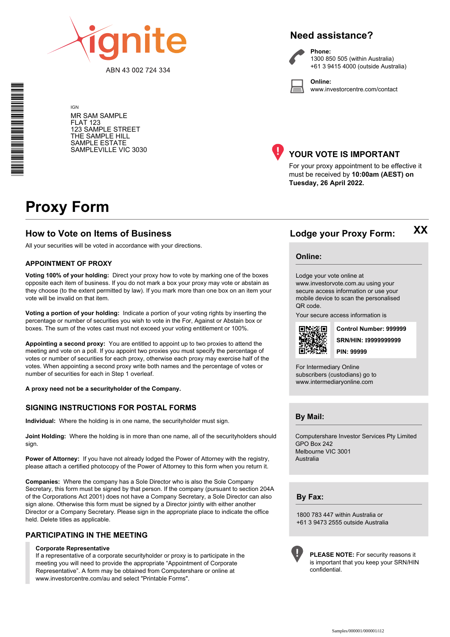

ABN 43 002 724 334

#### **Need assistance?**

**Phone:**

**Online:**



1300 850 505 (within Australia) +61 3 9415 4000 (outside Australia)

www.investorcentre.com/contact

MR SAM SAMPLE FLAT 123 123 SAMPLE STREET THE SAMPLE HILL SAMPLE ESTATE SAMPLEVILLE VIC 3030



#### **YOUR VOTE IS IMPORTANT**

For your proxy appointment to be effective it must be received by **10:00am (AEST) on Tuesday, 26 April 2022.**

# **Proxy Form**

IGN

#### **How to Vote on Items of Business Lodge your Proxy Form:**

All your securities will be voted in accordance with your directions.

#### **APPOINTMENT OF PROXY**

**Voting 100% of your holding:** Direct your proxy how to vote by marking one of the boxes opposite each item of business. If you do not mark a box your proxy may vote or abstain as they choose (to the extent permitted by law). If you mark more than one box on an item your vote will be invalid on that item.

**Voting a portion of your holding:** Indicate a portion of your voting rights by inserting the percentage or number of securities you wish to vote in the For, Against or Abstain box or boxes. The sum of the votes cast must not exceed your voting entitlement or 100%.

**Appointing a second proxy:** You are entitled to appoint up to two proxies to attend the meeting and vote on a poll. If you appoint two proxies you must specify the percentage of votes or number of securities for each proxy, otherwise each proxy may exercise half of the votes. When appointing a second proxy write both names and the percentage of votes or number of securities for each in Step 1 overleaf.

**A proxy need not be a securityholder of the Company.**

#### **SIGNING INSTRUCTIONS FOR POSTAL FORMS**

**Individual:** Where the holding is in one name, the securityholder must sign.

**Joint Holding:** Where the holding is in more than one name, all of the securityholders should sign.

**Power of Attorney:** If you have not already lodged the Power of Attorney with the registry, please attach a certified photocopy of the Power of Attorney to this form when you return it.

**Companies:** Where the company has a Sole Director who is also the Sole Company Secretary, this form must be signed by that person. If the company (pursuant to section 204A of the Corporations Act 2001) does not have a Company Secretary, a Sole Director can also sign alone. Otherwise this form must be signed by a Director jointly with either another Director or a Company Secretary. Please sign in the appropriate place to indicate the office held. Delete titles as applicable.

#### **PARTICIPATING IN THE MEETING**

#### **Corporate Representative**

If a representative of a corporate securityholder or proxy is to participate in the meeting you will need to provide the appropriate "Appointment of Corporate Representative". A form may be obtained from Computershare or online at www.investorcentre.com/au and select "Printable Forms".

**Online:**

#### Lodge your vote online at

www.investorvote.com.au using your secure access information or use your mobile device to scan the personalised QR code.

Your secure access information is



**SRN/HIN: I9999999999 Control Number: 999999 PIN: 99999**

**XX**

For Intermediary Online subscribers (custodians) go to www.intermediaryonline.com

**By Mail:**

Computershare Investor Services Pty Limited GPO Box 242 Melbourne VIC 3001 Australia

**By Fax:**

1800 783 447 within Australia or +61 3 9473 2555 outside Australia



**PLEASE NOTE:** For security reasons it is important that you keep your SRN/HIN confidential.